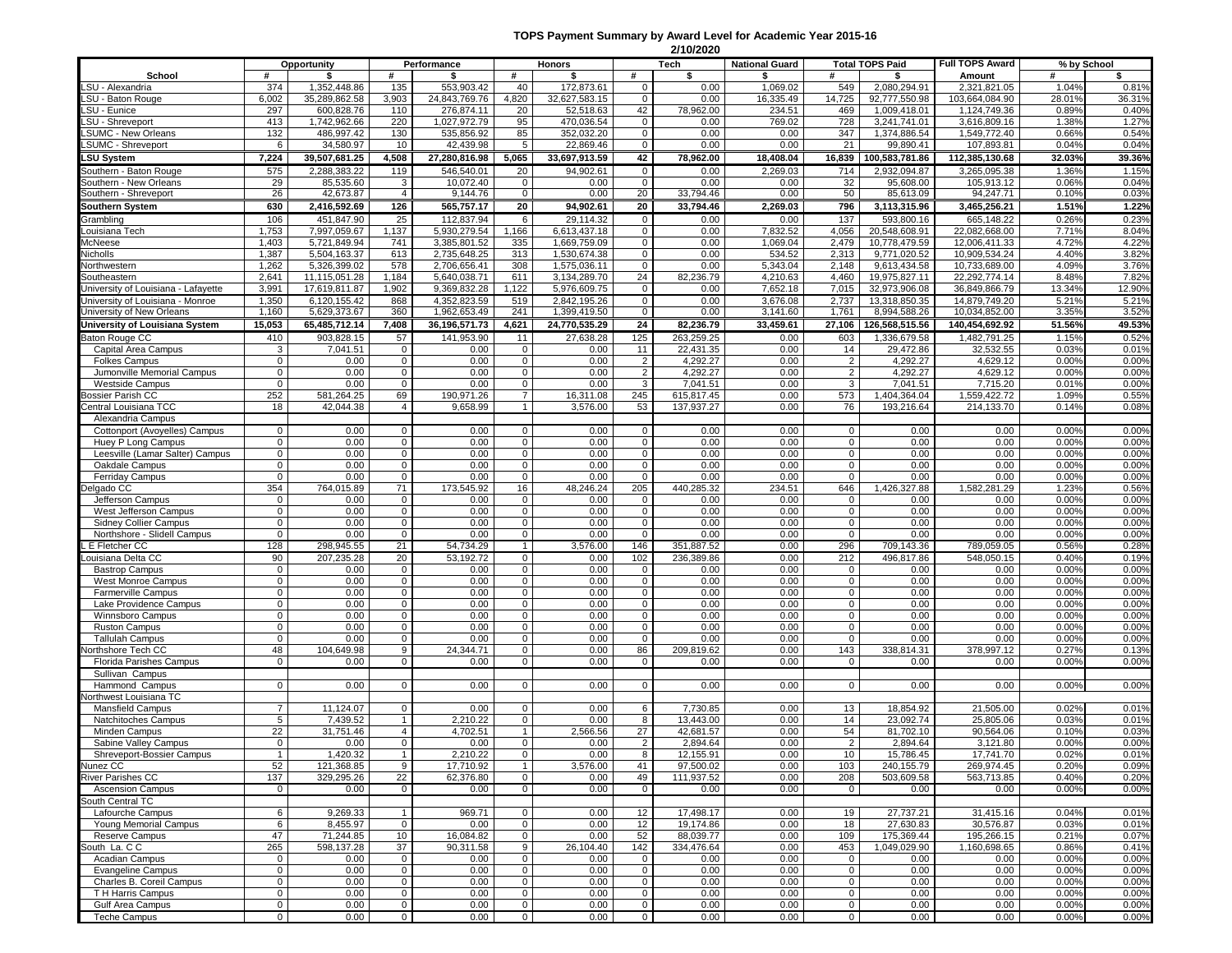## **TOPS Payment Summary by Award Level for Academic Year 2015-16**

|                                                                         |                    |                                |                            |                              |                             |                              |                             | 2/10/2020               |                       |                            |                                |                                |                 |                 |
|-------------------------------------------------------------------------|--------------------|--------------------------------|----------------------------|------------------------------|-----------------------------|------------------------------|-----------------------------|-------------------------|-----------------------|----------------------------|--------------------------------|--------------------------------|-----------------|-----------------|
|                                                                         |                    | Opportunity                    |                            | Performance                  |                             | Honors                       |                             | Tech                    | <b>National Guard</b> |                            | <b>Total TOPS Paid</b>         | <b>Full TOPS Award</b>         | % by School     |                 |
| School                                                                  | #                  | \$                             | #                          | \$                           | #                           | \$                           | #                           | s.                      | \$                    | #                          | \$                             | Amount                         | #               | \$              |
| LSU - Alexandria<br>LSU - Baton Rouge                                   | 374<br>6,002       | 1,352,448.86<br>35,289,862.58  | 135<br>3,903               | 553,903.42<br>24,843,769.76  | 40<br>4,820                 | 172,873.61<br>32,627,583.15  | $\mathbf 0$<br>$\mathbf{0}$ | 0.00<br>0.00            | 1,069.02<br>16,335.49 | 549<br>14,725              | 2,080,294.91<br>92,777,550.98  | 2,321,821.05<br>103.664.084.90 | 1.04%<br>28.01% | 0.81%<br>36.31% |
| LSU - Eunice                                                            | 297                | 600,828.76                     | 110                        | 276,874.11                   | 20                          | 52,518.63                    | 42                          | 78,962.00               | 234.51                | 469                        | 1,009,418.01                   | 1,124,749.36                   | 0.89%           | 0.40%           |
| LSU - Shreveport                                                        | 413                | 1,742,962.66                   | 220                        | 1,027,972.79                 | 95                          | 470,036.54                   | $\mathbf 0$                 | 0.00                    | 769.02                | 728                        | 3,241,741.01                   | 3,616,809.16                   | 1.38%           | 1.27%           |
| <b>SUMC - New Orleans</b>                                               | 132                | 486,997.42                     | 130                        | 535,856.92                   | 85                          | 352,032.20                   | $\mathbf 0$                 | 0.00                    | 0.00                  | 347                        | 1,374,886.54                   | 1,549,772.40                   | 0.66%           | 0.54%           |
| <b>LSUMC - Shreveport</b>                                               | 6                  | 34,580.97                      | 10                         | 42.439.98                    | 5                           | 22,869.46                    | 0                           | 0.00                    | 0.00                  | 21                         | 99,890.41                      | 107,893.81                     | 0.04%           | 0.04%           |
| <b>LSU System</b>                                                       | 7,224              | 39,507,681.25                  | 4,508                      | 27,280,816.98                | 5,065                       | 33,697,913.59                | 42                          | 78,962.00               | 18,408.04             |                            | 16,839 100,583,781.86          | 112,385,130.68                 | 32.03%          | 39.36%          |
| Southern - Baton Rouge                                                  | 575                | 2,288,383.22                   | 119                        | 546,540.01                   | 20                          | 94,902.61                    | $\mathbf 0$                 | 0.00                    | 2,269.03              | 714                        | 2,932,094.87                   | 3,265,095.38                   | 1.36%           | 1.15%           |
| Southern - New Orleans                                                  | 29                 | 85,535.60                      | 3                          | 10,072.40                    | 0                           | 0.00                         | $\mathbf 0$                 | 0.00                    | 0.00                  | 32                         | 95,608.00                      | 105,913.12                     | 0.06%           | 0.04%           |
| Southern - Shreveport                                                   | 26                 | 42,673.87                      | $\overline{4}$             | 9,144.76                     | $\mathbf 0$                 | 0.00                         | 20                          | 33,794.46               | 0.00                  | 50                         | 85,613.09                      | 94,247.71                      | 0.10%           | 0.03%           |
| <b>Southern System</b>                                                  | 630                | 2,416,592.69                   | 126                        | 565,757.17                   | 20                          | 94,902.61                    | 20                          | 33,794.46               | 2,269.03              | 796                        | 3,113,315.96                   | 3,465,256.21                   | 1.51%           | 1.22%           |
| Grambling                                                               | 106                | 451,847.90                     | 25                         | 112,837.94                   | 6                           | 29,114.32                    | $\mathbf 0$                 | 0.00                    | 0.00                  | 137                        | 593.800.16                     | 665,148.22                     | 0.26%           | 0.23%           |
| ouisiana Tech                                                           | 1,753              | 7,997,059.67                   | 1,137                      | 5,930,279.54                 | 1,166                       | 6,613,437.18                 | $\mathbf 0$                 | 0.00                    | 7,832.52              | 4,056                      | 20.548.608.91                  | 22,082,668.00                  | 7.71%           | 8.04%           |
| McNeese                                                                 | 1,403              | 5,721,849.94                   | 741                        | 3,385,801.52                 | 335                         | 1,669,759.09                 | 0                           | 0.00                    | 1,069.04              | 2,479                      | 10,778,479.59                  | 12,006,411.33                  | 4.72%           | 4.22%           |
| Nicholls                                                                | 1,387              | 5,504,163.37                   | 613                        | 2.735.648.25                 | 313                         | 1,530,674.38                 | $\mathbf 0$                 | 0.00                    | 534.52                | 2,313                      | 9,771,020.52                   | 10,909,534.24                  | 4.40%           | 3.82%           |
| Northwestern                                                            | 1,262              | 5,326,399.02                   | 578                        | 2,706,656.41                 | 308                         | 1.575.036.11                 | 0                           | 0.00                    | 5,343.04              | 2,148                      | 9,613,434.58                   | 10,733,689.00                  | 4.09%           | 3.76%           |
| Southeastern                                                            | 2,641<br>3,991     | 11,115,051.28<br>17,619,811.87 | 1,184<br>1,902             | 5,640,038.71<br>9,369,832.28 | 611<br>,122                 | 3,134,289.70<br>5,976,609.75 | 24                          | 82,236.79<br>0.00       | 4,210.63<br>7,652.18  | 4,460<br>7,015             | 19,975,827.11<br>32,973,906.08 | 22,292,774.14<br>36,849,866.79 | 8.48%<br>13.34% | 7.82%<br>12.90% |
| University of Louisiana - Lafayette<br>University of Louisiana - Monroe | 1,350              | 6,120,155.42                   | 868                        | 4,352,823.59                 | 519                         | 2,842,195.26                 | $\mathbf 0$<br>$\mathbf 0$  | 0.00                    | 3,676.08              | 2,737                      | 13,318,850.35                  | 14,879,749.20                  | 5.21%           | 5.21%           |
| University of New Orleans                                               | 1,160              | 5,629,373.67                   | 360                        | 1,962,653.49                 | 241                         | 1,399,419.50                 | 0                           | 0.00                    | 3,141.60              | 1,761                      | 8,994,588.26                   | 10,034,852.00                  | 3.35%           | 3.52%           |
| University of Louisiana System                                          | 15,053             | 65,485,712.14                  | 7,408                      | 36,196,571.73                | 4,621                       | 24,770,535.29                | 24                          | 82,236.79               | 33,459.61             | 27,106                     | 126,568,515.56                 | 140,454,692.92                 | 51.56%          | 49.53%          |
| Baton Rouge CC                                                          | 410                | 903,828.15                     | 57                         | 141,953.90                   | 11                          | 27,638.28                    | 125                         | 263,259.25              | 0.00                  | 603                        | 1,336,679.58                   | 1,482,791.25                   | 1.15%           | 0.52%           |
| Capital Area Campus                                                     | 3                  | 7,041.51                       | $\mathbf 0$                | 0.00                         | $\mathbf 0$                 | 0.00                         | 11                          | 22,431.35               | 0.00                  | 14                         | 29,472.86                      | 32,532.55                      | 0.03%           | 0.01%           |
| <b>Folkes Campus</b>                                                    | 0                  | 0.00                           | $\mathbf 0$                | 0.00                         | 0                           | 0.00                         | $\overline{2}$              | 4.292.27                | 0.00                  | 2                          | 4,292.27                       | 4,629.12                       | 0.00%           | 0.00%           |
| Jumonville Memorial Campus                                              | 0                  | 0.00                           | $\mathbf 0$                | 0.00                         | 0                           | 0.00                         | $\overline{2}$              | 4,292.27                | 0.00                  | 2                          | 4,292.27                       | 4,629.12                       | 0.00%           | 0.00%           |
| <b>Westside Campus</b>                                                  | 0                  | 0.00                           | $\mathbf 0$                | 0.00                         | 0                           | 0.00                         | 3                           | 7,041.51                | 0.00                  | 3                          | 7,041.51                       | 7,715.20                       | 0.01%           | 0.00%           |
| ossier Parish CC                                                        | 252                | 581.264.25                     | 69                         | 190,971.26                   | $\overline{7}$              | 16,311.08                    | 245                         | 615,817.45              | 0.00                  | 573                        | 1,404,364.04                   | 1,559,422.72                   | 1.09%           | 0.55%           |
| entral Louisiana TCC                                                    | 18                 | 42,044.38                      | $\overline{4}$             | 9,658.99                     | $\mathbf{1}$                | 3,576.00                     | 53                          | 137,937.27              | 0.00                  | 76                         | 193.216.64                     | 214,133.70                     | 0.14%           | 0.08%           |
| Alexandria Campus                                                       |                    |                                |                            |                              |                             |                              |                             |                         |                       |                            |                                |                                |                 |                 |
| Cottonport (Avoyelles) Campus                                           | 0                  | 0.00                           | $\mathbf{0}$               | 0.00                         | $\mathbf 0$                 | 0.00                         | $\mathbf 0$                 | 0.00                    | 0.00                  | $\mathbf{0}$               | 0.00                           | 0.00                           | 0.00%           | 0.00%           |
| Huey P Long Campus                                                      | 0                  | 0.00                           | $\mathbf 0$                | 0.00                         | 0                           | 0.00                         | $\mathbf 0$                 | 0.00                    | 0.00                  | $\mathbf{0}$               | 0.00                           | 0.00                           | 0.00%           | 0.00%           |
| Leesville (Lamar Salter) Campus                                         | $\mathbf 0$        | 0.00                           | $\mathbf 0$                | 0.00                         | $\mathbf{0}$                | 0.00                         | $\mathbf 0$                 | 0.00                    | 0.00                  | $\mathbf{0}$               | 0.00                           | 0.00                           | 0.00%           | 0.00%           |
| Oakdale Campus                                                          | $\mathbf{0}$       | 0.00                           | $\mathbf 0$                | 0.00                         | 0                           | 0.00                         | $\mathbf 0$                 | 0.00                    | 0.00                  | $\mathbf{0}$               | 0.00                           | 0.00                           | 0.00%           | 0.00%           |
| <b>Ferriday Campus</b>                                                  | $\mathbf 0$<br>354 | 0.00                           | $\mathbf 0$<br>71          | 0.00<br>173.545.92           | 0<br>16                     | 0.00<br>48,246.24            | $\mathbf 0$                 | 0.00                    | 0.00<br>234.51        | $\mathbf 0$<br>646         | 0.00                           | 0.00                           | 0.00%<br>1.23%  | 0.00%           |
| elgado CC<br>Jefferson Campus                                           | 0                  | 764,015.89<br>0.00             | $\mathbf 0$                | 0.00                         | $\mathbf 0$                 | 0.00                         | 205<br>$\mathbf 0$          | 440,285.32<br>0.00      | 0.00                  | $\mathbf{0}$               | 1,426,327.88<br>0.00           | 1,582,281.29<br>0.00           | 0.00%           | 0.56%<br>0.00%  |
| West Jefferson Campus                                                   | 0                  | 0.00                           | $\mathbf 0$                | 0.00                         | 0                           | 0.00                         | $\mathbf 0$                 | 0.00                    | 0.00                  | 0                          | 0.00                           | 0.00                           | 0.00%           | 0.00%           |
| <b>Sidney Collier Campus</b>                                            | 0                  | 0.00                           | $\mathbf 0$                | 0.00                         | $\mathbf 0$                 | 0.00                         | $\mathbf 0$                 | 0.00                    | 0.00                  | $\mathbf{0}$               | 0.00                           | 0.00                           | 0.00%           | 0.00%           |
| Northshore - Slidell Campus                                             | 0                  | 0.00                           | $\overline{0}$             | 0.00                         | $\mathbf 0$                 | 0.00                         | $\mathbf 0$                 | 0.00                    | 0.00                  | $\mathbf 0$                | 0.00                           | 0.00                           | 0.00%           | 0.00%           |
| E Fletcher CC                                                           | 128                | 298,945.55                     | 21                         | 54,734.29                    | $\mathbf{1}$                | 3,576.00                     | 146                         | 351,887.52              | 0.00                  | 296                        | 709,143.36                     | 789,059.05                     | 0.56%           | 0.28%           |
| ouisiana Delta CC                                                       | 90                 | 207,235.28                     | 20                         | 53,192.72                    | $\mathbf 0$                 | 0.00                         | 102                         | 236,389.86              | 0.00                  | 212                        | 496,817.86                     | 548,050.15                     | 0.40%           | 0.19%           |
| <b>Bastrop Campus</b>                                                   | 0                  | 0.00                           | $\mathbf 0$                | 0.00                         | $\mathbf 0$                 | 0.00                         | $\mathbf 0$                 | 0.00                    | 0.00                  | $\mathbf{0}$               | 0.00                           | 0.00                           | 0.00%           | 0.00%           |
| West Monroe Campus                                                      | 0                  | 0.00                           | $\mathbf 0$                | 0.00                         | $\mathbf 0$                 | 0.00                         | $\mathsf 0$                 | 0.00                    | 0.00                  | $\mathbf 0$                | 0.00                           | 0.00                           | 0.00%           | 0.00%           |
| <b>Farmerville Campus</b>                                               | 0                  | 0.00                           | $\mathbf 0$                | 0.00                         | $\mathbf 0$                 | 0.00                         | $\mathbf 0$                 | 0.00                    | 0.00                  | $\mathbf{0}$               | 0.00                           | 0.00                           | 0.00%           | 0.00%           |
| Lake Providence Campus                                                  | 0                  | 0.00                           | $\mathbf 0$                | 0.00                         | $\mathbf 0$                 | 0.00                         | $\mathbf 0$                 | 0.00                    | 0.00                  | $\mathbf 0$                | 0.00                           | 0.00                           | 0.00%           | 0.00%           |
| Winnsboro Campus                                                        | 0                  | 0.00                           | $\mathbf 0$                | 0.00                         | $\mathbf 0$                 | 0.00                         | $\mathbf 0$                 | 0.00                    | 0.00                  | $\mathbf{0}$               | 0.00                           | 0.00                           | 0.00%           | 0.00%           |
| <b>Ruston Campus</b><br><b>Tallulah Campus</b>                          | 0<br>0             | 0.00<br>0.00                   | $\mathbf 0$<br>$\mathbf 0$ | 0.00<br>0.00                 | $\mathbf 0$<br>$\mathbf 0$  | 0.00<br>0.00                 | $\mathbf 0$<br>$\mathbf 0$  | 0.00<br>0.00            | 0.00<br>0.00          | $\mathbf 0$<br>$\mathbf 0$ | 0.00<br>0.00                   | 0.00<br>0.00                   | 0.00%<br>0.00%  | 0.00%<br>0.00%  |
| lorthshore Tech CC                                                      | 48                 | 104,649.98                     | 9                          | 24,344.71                    | $\mathbf 0$                 | 0.00                         | 86                          | 209,819.62              | 0.00                  | 143                        | 338,814.31                     | 378,997.12                     | 0.27%           | 0.13%           |
| <b>Florida Parishes Campus</b>                                          | 0                  | 0.00                           | $\mathbf 0$                | 0.00                         | $\mathbf 0$                 | 0.00                         | 0                           | 0.00                    | 0.00                  | $\mathbf{0}$               | 0.00                           | 0.00                           | 0.00%           | 0.00%           |
| Sullivan Campus                                                         |                    |                                |                            |                              |                             |                              |                             |                         |                       |                            |                                |                                |                 |                 |
| Hammond Campus                                                          | 0                  | 0.00                           | $\mathbf 0$                | 0.00                         | $\mathbf 0$                 | 0.00                         | $\mathbf 0$                 | 0.00                    | 0.00                  | $\mathbf{0}$               | 0.00                           | 0.00                           | 0.00%           | 0.00%           |
| lorthwest Louisiana TC                                                  |                    |                                |                            |                              |                             |                              |                             |                         |                       |                            |                                |                                |                 |                 |
| <b>Mansfield Campus</b>                                                 | $\overline{7}$     | 11,124.07                      | $\mathbf 0$                | 0.00                         | $\mathbf{0}$                | 0.00                         | 6                           | 7,730.85                | 0.00                  | 13                         | 18,854.92                      | 21,505.00                      | 0.02%           | 0.01%           |
| Natchitoches Campus                                                     | 5                  | 7,439.52                       | $\overline{1}$             | 2,210.22                     | $\mathbf 0$                 | 0.00                         | 8                           | 13,443.00               | 0.00                  | 14                         | 23,092.74                      | 25,805.06                      | 0.03%           | 0.01%           |
| Minden Campus                                                           | 22                 | 31.751.46                      | 4                          | 4,702.51                     | $\mathbf{1}$                | 2,566.56                     | 27                          | 42,681.57               | 0.00                  | 54                         | 81,702.10                      | 90,564.06                      | 0.10%           | 0.03%           |
| Sabine Valley Campus                                                    | $\Omega$           | 0.00                           | $\Omega$                   | 0.00                         | $\Omega$                    | 0.00                         | 2                           | 2,894.64                | 0.00                  | 2                          | 2,894.64                       | 3,121.80                       | 0.00%           | 0.00%           |
| Shreveport-Bossier Campus                                               | $\mathbf{1}$       | 1,420.32                       | $\overline{1}$             | 2,210.22                     | $\mathbf 0$                 | 0.00                         | 8                           | 12,155.91               | 0.00                  | 10                         | 15,786.45                      | 17,741.70                      | 0.02%           | 0.01%           |
| Nunez CC<br><b>River Parishes CC</b>                                    | 52<br>137          | 121,368.85<br>329,295.26       | 9<br>22                    | 17,710.92<br>62,376.80       | $\mathbf{1}$<br>$\mathbf 0$ | 3,576.00<br>0.00             | 41<br>49                    | 97,500.02<br>111,937.52 | 0.00<br>0.00          | 103                        | 240,155.79                     | 269,974.45<br>563,713.85       | 0.20%<br>0.40%  | 0.09%<br>0.20%  |
| <b>Ascension Campus</b>                                                 | 0                  | 0.00                           | $\mathbf 0$                | 0.00                         | $\mathbf 0$                 | 0.00                         | $\overline{0}$              | 0.00                    | 0.00                  | 208<br>$\overline{0}$      | 503,609.58<br>0.00             | 0.00                           | 0.00%           | 0.00%           |
| South Central TC                                                        |                    |                                |                            |                              |                             |                              |                             |                         |                       |                            |                                |                                |                 |                 |
| Lafourche Campus                                                        | 6                  | 9,269.33                       | $\overline{1}$             | 969.71                       | 0                           | 0.00                         | 12                          | 17,498.17               | 0.00                  | 19                         | 27,737.21                      | 31,415.16                      | 0.04%           | 0.01%           |
| Young Memorial Campus                                                   | 6                  | 8,455.97                       | $\overline{0}$             | 0.00                         | $\mathbf 0$                 | 0.00                         | 12                          | 19,174.86               | 0.00                  | 18                         | 27,630.83                      | 30,576.87                      | 0.03%           | 0.01%           |
| Reserve Campus                                                          | 47                 | 71,244.85                      | 10                         | 16,084.82                    | $\mathbf{0}$                | 0.00                         | 52                          | 88,039.77               | 0.00                  | 109                        | 175.369.44                     | 195,266.15                     | 0.21%           | 0.07%           |
| South La. C C                                                           | 265                | 598,137.28                     | 37                         | 90,311.58                    | 9                           | 26,104.40                    | 142                         | 334,476.64              | 0.00                  | 453                        | 1,049,029.90                   | 1,160,698.65                   | 0.86%           | 0.41%           |
| Acadian Campus                                                          | 0                  | 0.00                           | $\mathbf 0$                | 0.00                         | $\mathbf 0$                 | 0.00                         | $\mathbf 0$                 | 0.00                    | 0.00                  | $\mathbf{0}$               | 0.00                           | 0.00                           | 0.00%           | 0.00%           |
| <b>Evangeline Campus</b>                                                | 0                  | 0.00                           | $\mathbf 0$                | 0.00                         | $\mathbf 0$                 | 0.00                         | $\mathbf 0$                 | 0.00                    | 0.00                  | $\mathbf{0}$               | 0.00                           | 0.00                           | 0.00%           | 0.00%           |
| Charles B. Coreil Campus                                                | 0                  | 0.00                           | $\mathbf 0$                | 0.00                         | $\mathbf{0}$                | 0.00                         | $\mathbf 0$                 | 0.00                    | 0.00                  | $\mathbf{0}$               | 0.00                           | 0.00                           | 0.00%           | 0.00%           |
| T H Harris Campus                                                       | 0                  | 0.00                           | $\mathbf 0$                | 0.00                         | $\mathbf 0$                 | 0.00                         | $\mathbf 0$                 | 0.00                    | 0.00                  | $\mathbf{0}$               | 0.00                           | 0.00                           | 0.00%           | 0.00%           |
| Gulf Area Campus                                                        | $\mathbf 0$        | 0.00                           | $\mathbf 0$                | 0.00                         | $\mathbf{0}$                | 0.00                         | $\mathbf 0$                 | 0.00                    | 0.00                  | $\overline{0}$             | 0.00                           | 0.00                           | 0.00%           | 0.00%           |
| <b>Teche Campus</b>                                                     | $\mathbf 0$        | 0.00                           | $\mathbf 0$                | 0.00                         | $\mathbf 0$                 | 0.00                         | $\mathsf{O}$                | 0.00                    | 0.00                  | $\overline{0}$             | 0.00                           | 0.00                           | 0.00%           | 0.00%           |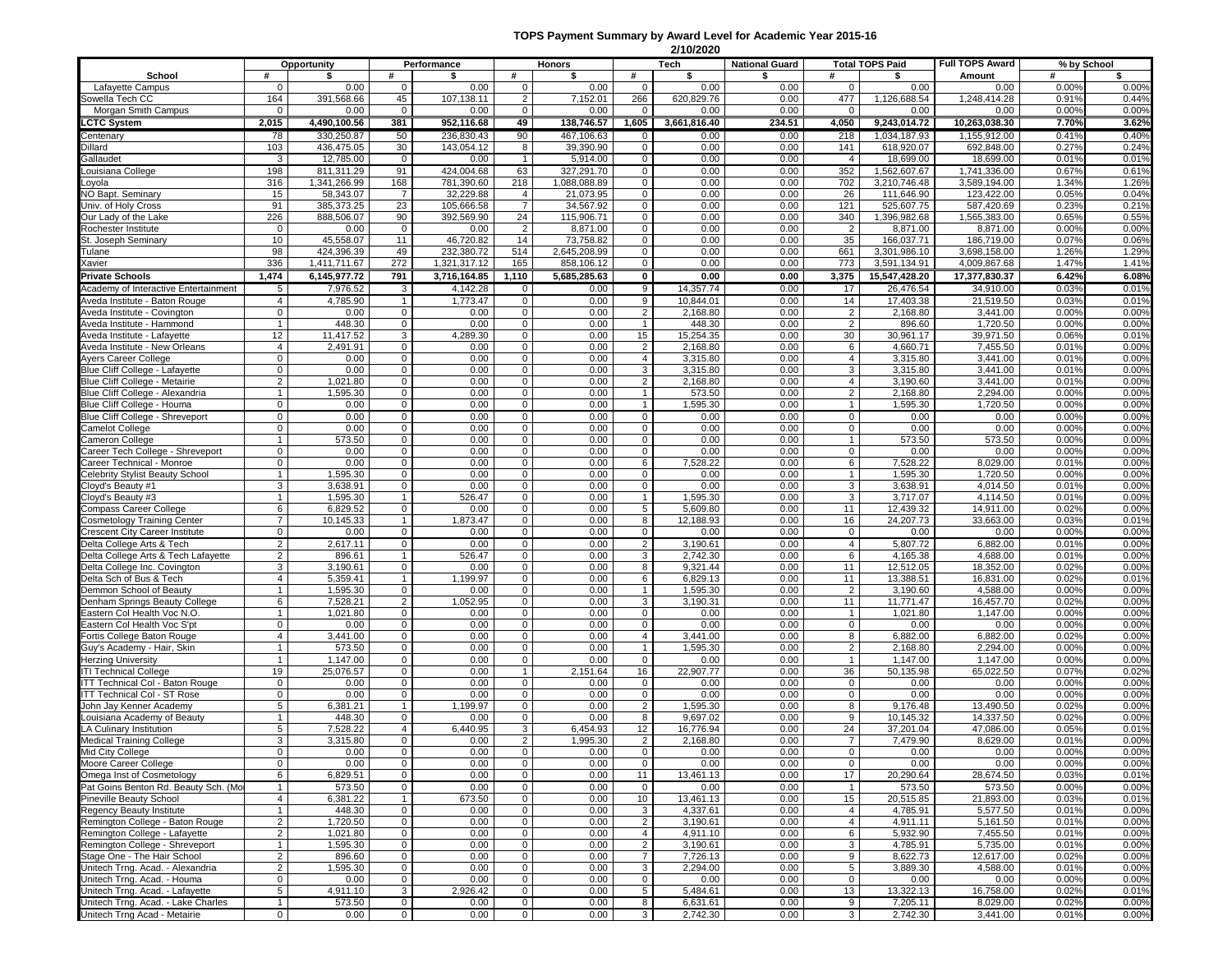## **TOPS Payment Summary by Award Level for Academic Year 2015-16**

|                                                                       | 2/10/2020                      |                      |                            |                    |                                |                       |                            |                       |                       |                             |                        |                            |                |                |
|-----------------------------------------------------------------------|--------------------------------|----------------------|----------------------------|--------------------|--------------------------------|-----------------------|----------------------------|-----------------------|-----------------------|-----------------------------|------------------------|----------------------------|----------------|----------------|
|                                                                       |                                | Opportunity          |                            | Performance        |                                | Honors                |                            | Tech                  | <b>National Guard</b> |                             | <b>Total TOPS Paid</b> | <b>Full TOPS Award</b>     |                | % by School    |
| School                                                                | #                              | \$                   | #                          | \$                 | #                              | \$                    | #                          | \$                    | \$                    | #                           | \$                     | Amount                     | #              | \$             |
| Lafayette Campus                                                      | $\mathbf 0$                    | 0.00                 | $\mathbf 0$                | 0.00               | $\mathbf 0$                    | 0.00                  | $\mathbf 0$                | 0.00                  | 0.00                  | $\mathbf{0}$                | 0.00                   | 0.00                       | 0.00%          | 0.00%          |
| Sowella Tech CC<br>Morgan Smith Campus                                | 164<br>$\mathbf{0}$            | 391,568.66<br>0.00   | 45<br>$\mathbf{0}$         | 107.138.11<br>0.00 | $\overline{2}$<br>$\mathbf{0}$ | 7,152.01<br>0.00      | 266<br>$\mathbf{0}$        | 620.829.76<br>0.00    | 0.00<br>0.00          | 477<br>$\mathbf{0}$         | 1,126,688.54<br>0.00   | 1,248,414.28<br>0.00       | 0.91%<br>0.00% | 0.44%<br>0.00% |
| <b>LCTC System</b>                                                    | 2,015                          | 4,490,100.56         | 381                        | 952,116.68         | 49                             | 138,746.57            | 1,605                      | 3,661,816.40          | 234.51                | 4,050                       | 9,243,014.72           | 10,263,038.30              | 7.70%          | 3.62%          |
| Centenary                                                             | 78                             | 330.250.87           | 50                         | 236.830.43         | 90                             | 467,106.63            | $\mathbf{0}$               | 0.00                  | 0.00                  | 218                         | 1,034,187.93           | 1.155,912.00               | 0.41%          | 0.40%          |
| Dillard                                                               | 103                            | 436,475.05           | 30                         | 143,054.12         | 8                              | 39,390.90             | $\mathbf{0}$               | 0.00                  | 0.00                  | 141                         | 618,920.07             | 692,848.00                 | 0.27%          | 0.24%          |
| Gallaudet                                                             | 3                              | 12,785.00            | $\mathbf 0$                | 0.00               | $\mathbf{1}$                   | 5,914.00              | $\mathbf 0$                | 0.00                  | 0.00                  | $\overline{4}$              | 18,699.00              | 18,699.00                  | 0.01%          | 0.01%          |
| Louisiana College                                                     | 198                            | 811.311.29           | 91                         | 424,004.68         | 63                             | 327,291.70            | $\mathbf{0}$               | 0.00                  | 0.00                  | 352                         | 1,562,607.67           | 1,741,336.00               | 0.67%          | 0.61%          |
| Loyola                                                                | 316                            | 1,341,266.99         | 168                        | 781,390.60         | 218                            | 1,088,088.89          | $\mathbf 0$                | 0.00                  | 0.00                  | 702                         | 3,210,746.48           | 3,589,194.00               | 1.34%          | 1.26%          |
| <b>NO Bapt. Seminary</b>                                              | 15                             | 58,343.07            | 7                          | 32,229.88          | 4                              | 21,073.95             | $\mathbf 0$                | 0.00                  | 0.00                  | 26                          | 111,646.90             | 123,422.00                 | 0.05%          | 0.04%          |
| Univ. of Holy Cross                                                   | 91                             | 385.373.25           | 23                         | 105,666.58         | $\overline{7}$                 | 34,567.92             | $\mathbf 0$                | 0.00                  | 0.00                  | 121                         | 525,607.75             | 587.420.69                 | 0.23%          | 0.21%          |
| Our Lady of the Lake                                                  | 226                            | 888.506.07           | 90                         | 392,569.90         | 24                             | 115,906.71            | $\mathbf 0$                | 0.00                  | 0.00                  | 340                         | 1,396,982.68           | 1,565,383.00               | 0.65%          | 0.55%          |
| Rochester Institute<br>St. Joseph Seminary                            | 0<br>10                        | 0.00<br>45,558.07    | $\mathbf 0$<br>11          | 0.00<br>46,720.82  | $\overline{2}$<br>14           | 8,871.00<br>73,758.82 | $\mathbf 0$                | 0.00<br>0.00          | 0.00                  | $\overline{2}$              | 8,871.00<br>166.037.71 | 8,871.00                   | 0.00%          | 0.00%          |
| Tulane                                                                | 98                             | 424,396.39           | 49                         | 232,380.72         | 514                            | 2,645,208.99          | $\mathbf 0$<br>$\mathbf 0$ | 0.00                  | 0.00<br>0.00          | 35<br>661                   | 3,301,986.10           | 186,719.00<br>3,698,158.00 | 0.07%<br>1.26% | 0.06%<br>1.29% |
| Xavier                                                                | 336                            | 1,411,711.67         | 272                        | 1,321,317.12       | 165                            | 858,106.12            | $\mathbf 0$                | 0.00                  | 0.00                  | 773                         | 3,591,134.91           | 4,009,867.68               | 1.47%          | 1.41%          |
| <b>Private Schools</b>                                                | 1.474                          | 6,145,977.72         | 791                        | 3,716,164.85       | 1,110                          | 5,685,285.63          | $\mathbf 0$                | 0.00                  | 0.00                  | 3,375                       | 15,547,428.20          | 17,377,830.37              | 6.42%          | 6.08%          |
| Academy of Interactive Entertainment                                  | 5                              | 7,976.52             | 3                          | 4,142.28           | $\mathbf 0$                    | 0.00                  | 9                          | 14,357.74             | 0.00                  | 17                          | 26,476.54              | 34,910.00                  | 0.03%          | 0.01%          |
| Aveda Institute - Baton Rouge                                         | $\overline{4}$                 | 4,785.90             | $\mathbf{1}$               | 1,773.47           | $\mathbf 0$                    | 0.00                  | 9                          | 10,844.01             | 0.00                  | 14                          | 17,403.38              | 21,519.50                  | 0.03%          | 0.01%          |
| Aveda Institute - Covington                                           | 0                              | 0.00                 | $\mathbf 0$                | 0.00               | $\mathbf 0$                    | 0.00                  | $\overline{2}$             | 2,168.80              | 0.00                  | $\overline{2}$              | 2,168.80               | 3,441.00                   | 0.00%          | 0.00%          |
| Aveda Institute - Hammond                                             | $\mathbf{1}$                   | 448.30               | $\mathbf 0$                | 0.00               | $\mathbf 0$                    | 0.00                  | $\mathbf{1}$               | 448.30                | 0.00                  | $\overline{2}$              | 896.60                 | 1,720.50                   | 0.00%          | 0.00%          |
| Aveda Institute - Lafayette                                           | 12                             | 11,417.52            | 3                          | 4,289.30           | 0                              | 0.00                  | 15                         | 15,254.35             | 0.00                  | 30                          | 30,961.17              | 39,971.50                  | 0.06%          | 0.01%          |
| Aveda Institute - New Orleans                                         | 4                              | 2,491.91             | $\mathbf 0$                | 0.00               | $\overline{0}$                 | 0.00                  | $\overline{2}$             | 2,168.80              | 0.00                  | 6                           | 4,660.71               | 7,455.50                   | 0.01%          | 0.00%          |
| Ayers Career College                                                  | 0                              | 0.00                 | $\mathbf 0$                | 0.00               | 0                              | 0.00                  | $\overline{4}$             | 3,315.80              | 0.00                  | $\overline{4}$              | 3,315.80               | 3,441.00                   | 0.01%          | 0.00%          |
| Blue Cliff College - Lafayette                                        | 0                              | 0.00                 | $\mathbf 0$                | 0.00               | 0                              | 0.00                  | 3                          | 3,315.80              | 0.00                  | 3                           | 3,315.80               | 3,441.00                   | 0.01%          | 0.00%          |
| Blue Cliff College - Metairie                                         | $\overline{2}$                 | 1,021.80             | $\mathbf 0$                | 0.00               | 0                              | 0.00                  | $\overline{2}$             | 2,168.80              | 0.00                  | $\overline{4}$              | 3,190.60               | 3,441.00                   | 0.01%          | 0.00%          |
| Blue Cliff College - Alexandria                                       | 1                              | 1,595.30             | $\mathbf 0$                | 0.00               | $\mathsf 0$                    | 0.00                  | $\mathbf{1}$               | 573.50                | 0.00                  | $\overline{2}$              | 2,168.80               | 2,294.00                   | 0.00%          | 0.00%          |
| Blue Cliff College - Houma                                            | $\mathbf{0}$                   | 0.00                 | $\mathbf 0$                | 0.00               | $\mathbf 0$                    | 0.00                  | $\mathbf{1}$               | 1,595.30              | 0.00                  | $\mathbf{1}$                | 1,595.30               | 1,720.50                   | 0.00%          | 0.00%          |
| Blue Cliff College - Shreveport                                       | $\mathbf 0$                    | 0.00                 | $\mathbf{0}$               | 0.00<br>0.00       | $\mathbf 0$                    | 0.00                  | $\mathbf 0$                | 0.00<br>0.00          | 0.00                  | $\mathbf{0}$<br>$\mathbf 0$ | 0.00<br>0.00           | 0.00                       | 0.00%<br>0.00% | 0.00%          |
| amelot College<br>Cameron College                                     | 0<br>$\mathbf{1}$              | 0.00<br>573.50       | $\mathbf 0$<br>$\mathbf 0$ | 0.00               | 0<br>$\mathbf 0$               | 0.00<br>0.00          | $\mathbf 0$<br>$\mathbf 0$ | 0.00                  | 0.00<br>0.00          | $\mathbf{1}$                | 573.50                 | 0.00<br>573.50             | 0.00%          | 0.00%<br>0.00% |
| Career Tech College - Shreveport                                      | $\mathbf{0}$                   | 0.00                 | $\mathbf 0$                | 0.00               | $\mathbf 0$                    | 0.00                  | $\mathbf{0}$               | 0.00                  | 0.00                  | $\mathbf{0}$                | 0.00                   | 0.00                       | 0.00%          | 0.00%          |
| Career Technical - Monroe                                             | $\mathbf{0}$                   | 0.00                 | $\mathbf 0$                | 0.00               | $\mathsf 0$                    | 0.00                  | 6                          | 7.528.22              | 0.00                  | 6                           | 7,528.22               | 8.029.00                   | 0.01%          | 0.00%          |
| Celebrity Stylist Beauty School                                       | $\mathbf{1}$                   | 1,595.30             | $\mathbf 0$                | 0.00               | $\mathbf 0$                    | 0.00                  | $\overline{0}$             | 0.00                  | 0.00                  | $\mathbf{1}$                | 1,595.30               | 1,720.50                   | 0.00%          | 0.00%          |
| Cloyd's Beauty #1                                                     | 3                              | 3,638.91             | $\mathbf 0$                | 0.00               | $\mathbf 0$                    | 0.00                  | $\mathbf 0$                | 0.00                  | 0.00                  | 3                           | 3,638.91               | 4,014.50                   | 0.01%          | 0.00%          |
| Cloyd's Beauty #3                                                     | 1                              | 1,595.30             | $\mathbf{1}$               | 526.47             | $\overline{0}$                 | 0.00                  | $\mathbf{1}$               | 1,595.30              | 0.00                  | 3                           | 3,717.07               | 4,114.50                   | 0.01%          | 0.00%          |
| Compass Career College                                                | 6                              | 6,829.52             | $\mathbf 0$                | 0.00               | $\overline{0}$                 | 0.00                  | $5\overline{)}$            | 5,609.80              | 0.00                  | 11                          | 12,439.32              | 14,911.00                  | 0.02%          | 0.00%          |
| Cosmetology Training Center                                           | $\overline{7}$                 | 10,145.33            | $\mathbf{1}$               | 1,873.47           | $\overline{0}$                 | 0.00                  | 8                          | 12,188.93             | 0.00                  | 16                          | 24,207.73              | 33,663.00                  | 0.03%          | 0.01%          |
| Crescent City Career Institute                                        | 0                              | 0.00                 | $\mathbf 0$                | 0.00               | $\mathbf 0$                    | 0.00                  | $\mathbf 0$                | 0.00                  | 0.00                  | $\mathbf 0$                 | 0.00                   | 0.00                       | 0.00%          | 0.00%          |
| Delta College Arts & Tech                                             | $\overline{2}$                 | 2,617.11             | $\mathbf 0$                | 0.00               | $\mathbf 0$                    | 0.00                  | $\overline{2}$             | 3,190.61              | 0.00                  | $\overline{4}$              | 5,807.72               | 6,882.00                   | 0.01%          | 0.00%          |
| Delta College Arts & Tech Lafayette                                   | $\overline{2}$                 | 896.61               | $\mathbf{1}$               | 526.47             | 0                              | 0.00                  | 3                          | 2,742.30              | 0.00                  | 6                           | 4,165.38               | 4,688.00                   | 0.01%          | 0.00%          |
| Delta College Inc. Covington<br>Delta Sch of Bus & Tech               | 3<br>$\overline{4}$            | 3,190.61<br>5,359.41 | $\pmb{0}$<br>$\mathbf{1}$  | 0.00<br>1,199.97   | 0<br>0                         | 0.00<br>0.00          | 8<br>6                     | 9,321.44<br>6,829.13  | 0.00<br>0.00          | 11<br>11                    | 12,512.05<br>13,388.51 | 18,352.00<br>16,831.00     | 0.02%<br>0.02% | 0.00%<br>0.01% |
| Demmon School of Beauty                                               | $\mathbf{1}$                   | 1,595.30             | $\pmb{0}$                  | 0.00               | 0                              | 0.00                  | $\mathbf{1}$               | 1,595.30              | 0.00                  | $\overline{2}$              | 3,190.60               | 4,588.00                   | 0.00%          | 0.00%          |
| Denham Springs Beauty College                                         | 6                              | 7,528.21             | $\overline{2}$             | 1,052.95           | $\mathbf 0$                    | 0.00                  | 3                          | 3,190.31              | 0.00                  | 11                          | 11,771.47              | 16,457.70                  | 0.02%          | 0.00%          |
| Eastern Col Health Voc N.O.                                           | $\mathbf{1}$                   | 1,021.80             | $\mathbf 0$                | 0.00               | $\mathbf 0$                    | 0.00                  | $\mathbf 0$                | 0.00                  | 0.00                  |                             | 1,021.80               | 1,147.00                   | 0.00%          | 0.00%          |
| Eastern Col Health Voc S'pt                                           | 0                              | 0.00                 | $\mathbf 0$                | 0.00               | 0                              | 0.00                  | $\mathsf{O}$               | 0.00                  | 0.00                  | $\mathbf 0$                 | 0.00                   | 0.00                       | 0.00%          | 0.00%          |
| Fortis College Baton Rouge                                            | $\overline{4}$                 | 3,441.00             | $\mathbf 0$                | 0.00               | $\mathbf 0$                    | 0.00                  | $\overline{4}$             | 3,441.00              | 0.00                  | 8                           | 6,882.00               | 6,882.00                   | 0.02%          | 0.00%          |
| Guy's Academy - Hair, Skin                                            | 1                              | 573.50               | $\mathbf 0$                | 0.00               | 0                              | 0.00                  | $\mathbf{1}$               | 1,595.30              | 0.00                  | 2                           | 2,168.80               | 2,294.00                   | 0.00%          | 0.00%          |
| <b>Herzing University</b>                                             | $\mathbf{1}$                   | 1,147.00             | $\mathbf 0$                | 0.00               | 0                              | 0.00                  | $\mathbf 0$                | 0.00                  | 0.00                  |                             | 1,147.00               | 1,147.00                   | 0.00%          | 0.00%          |
| <b>ITI Technical College</b>                                          | 19                             | 25,076.57            | $\mathbf 0$                | 0.00               | $\mathbf{1}$                   | 2,151.64              | 16                         | 22,907.77             | 0.00                  | 36                          | 50,135.98              | 65,022.50                  | 0.07%          | 0.02%          |
| <b>ITT Technical Col - Baton Rouge</b>                                | $\mathbf 0$                    | 0.00                 | $\mathbf 0$                | 0.00               | $\mathbf 0$                    | 0.00                  | $\mathbf 0$                | 0.00                  | 0.00                  | $\mathbf{0}$                | 0.00                   | 0.00                       | 0.00%          | 0.00%          |
| <b>ITT Technical Col - ST Rose</b>                                    | $\mathbf 0$                    | 0.00                 | $\mathbf 0$                | 0.00               | $\mathbf 0$                    | 0.00                  | $\mathbf 0$                | 0.00                  | 0.00                  | $\mathbf{0}$                | 0.00                   | 0.00                       | 0.00%          | 0.00%          |
| John Jay Kenner Academy                                               | 5 <sup>5</sup><br>$\mathbf{1}$ | 6,381.21             | $\mathbf{1}$               | 1,199.97           | $\mathbf{0}$<br>0              | 0.00<br>0.00          | $\overline{2}$<br>8        | 1,595.30              | 0.00                  | 8<br>9                      | 9,176.48               | 13,490.50                  | 0.02%<br>0.02% | 0.00%          |
| Louisiana Academy of Beauty                                           | $5\overline{)}$                | 448.30<br>7,528.22   | 0<br>$\overline{4}$        | 0.00<br>6,440.95   | 3                              | 6,454.93              | 12                         | 9,697.02<br>16,776.94 | 0.00<br>0.00          | 24                          | 10,145.32<br>37,201.04 | 14,337.50<br>47,086.00     | 0.05%          | 0.00%<br>0.01% |
| LA Culinary Institution<br>Medical Training College                   | $\overline{3}$                 | 3,315.80             | $\overline{0}$             | 0.00               | $\overline{2}$                 | 1,995.30              | $\overline{2}$             | 2,168.80              | 0.00                  | $\overline{7}$              | 7,479.90               | 8,629.00                   | 0.01%          | 0.00%          |
| Mid City College                                                      | $\overline{0}$                 | 0.00                 | $\mathbf{0}$               | 0.00               | $\mathbf 0$                    | 0.00                  | $\mathbf{0}$               | 0.00                  | 0.00                  | $\mathbf{0}$                | 0.00                   | 0.00                       | 0.00%          | 0.00%          |
| Moore Career College                                                  | $\mathbf 0$                    | 0.00                 | $\mathbf 0$                | 0.00               | $\mathbf 0$                    | 0.00                  | $\mathbf 0$                | 0.00                  | 0.00                  | $\mathbf{0}$                | 0.00                   | 0.00                       | 0.00%          | 0.00%          |
| Omega Inst of Cosmetology                                             | 6                              | 6,829.51             | $\mathbf 0$                | 0.00               | $\mathsf 0$                    | 0.00                  | 11                         | 13,461.13             | 0.00                  | 17                          | 20,290.64              | 28,674.50                  | 0.03%          | 0.01%          |
| Pat Goins Benton Rd. Beauty Sch. (Mo                                  | $\mathbf{1}$                   | 573.50               | $\mathbf 0$                | 0.00               | $\mathbf 0$                    | 0.00                  | $\mathbf 0$                | 0.00                  | 0.00                  | $\mathbf{1}$                | 573.50                 | 573.50                     | 0.00%          | 0.00%          |
| Pineville Beauty School                                               | $\overline{4}$                 | 6,381.22             | $\mathbf{1}$               | 673.50             | $\mathbf 0$                    | 0.00                  | 10                         | 13,461.13             | 0.00                  | 15                          | 20,515.85              | 21,893.00                  | 0.03%          | 0.01%          |
| Regency Beauty Institute                                              | 1                              | 448.30               | $\mathbf 0$                | 0.00               | $\mathbf{0}$                   | 0.00                  | 3                          | 4,337.61              | 0.00                  | 4                           | 4,785.91               | 5,577.50                   | 0.01%          | 0.00%          |
| Remington College - Baton Rouge                                       | $\overline{2}$                 | 1,720.50             | $\mathbf 0$                | 0.00               | $\mathsf 0$                    | 0.00                  | $\overline{2}$             | 3,190.61              | 0.00                  | $\overline{4}$              | 4,911.11               | 5,161.50                   | 0.01%          | 0.00%          |
| Remington College - Lafayette                                         | $\overline{2}$                 | 1,021.80             | $\mathbf 0$                | 0.00               | 0                              | 0.00                  | $\overline{4}$             | 4,911.10              | 0.00                  | 6                           | 5,932.90               | 7,455.50                   | 0.01%          | 0.00%          |
| Remington College - Shreveport                                        | 1                              | 1,595.30             | $\mathbf 0$                | 0.00               | $\mathbf 0$                    | 0.00                  | $\overline{2}$             | 3,190.61              | 0.00                  | 3                           | 4,785.91               | 5,735.00                   | 0.01%          | 0.00%          |
| Stage One - The Hair School                                           | $\overline{2}$                 | 896.60               | $\mathbf 0$                | 0.00               | 0                              | 0.00                  | $\overline{7}$             | 7,726.13              | 0.00                  | 9                           | 8,622.73               | 12,617.00                  | 0.02%          | 0.00%          |
| Unitech Trng. Acad. - Alexandria                                      | $\overline{2}$                 | 1,595.30             | $\mathbf 0$                | 0.00               | $\mathbf 0$                    | 0.00                  | 3                          | 2,294.00              | 0.00                  | $5\overline{)}$             | 3,889.30               | 4,588.00                   | 0.01%          | 0.00%          |
| Unitech Trng. Acad. - Houma                                           | 0                              | 0.00                 | $\mathbf 0$                | 0.00               | 0                              | 0.00                  | $\mathbf 0$                | 0.00                  | 0.00                  | $\mathbf 0$                 | 0.00                   | 0.00                       | 0.00%          | 0.00%          |
| Unitech Trng. Acad. - Lafayette<br>Unitech Trng. Acad. - Lake Charles | 5<br>1                         | 4,911.10<br>573.50   | 3<br>$\mathbf 0$           | 2,926.42<br>0.00   | $\mathbf{0}$<br>$\mathbf 0$    | 0.00<br>0.00          | 5<br>8                     | 5,484.61<br>6,631.61  | 0.00<br>0.00          | 13<br>9                     | 13,322.13<br>7,205.11  | 16,758.00<br>8,029.00      | 0.02%<br>0.02% | 0.01%<br>0.00% |
| Unitech Trng Acad - Metairie                                          | $\circ$                        | 0.00                 | $\overline{0}$             | 0.00               | $\overline{0}$                 | 0.00                  | 3                          | 2,742.30              | 0.00                  | 3 <sup>1</sup>              | 2,742.30               | 3,441.00                   | 0.01%          | 0.00%          |
|                                                                       |                                |                      |                            |                    |                                |                       |                            |                       |                       |                             |                        |                            |                |                |